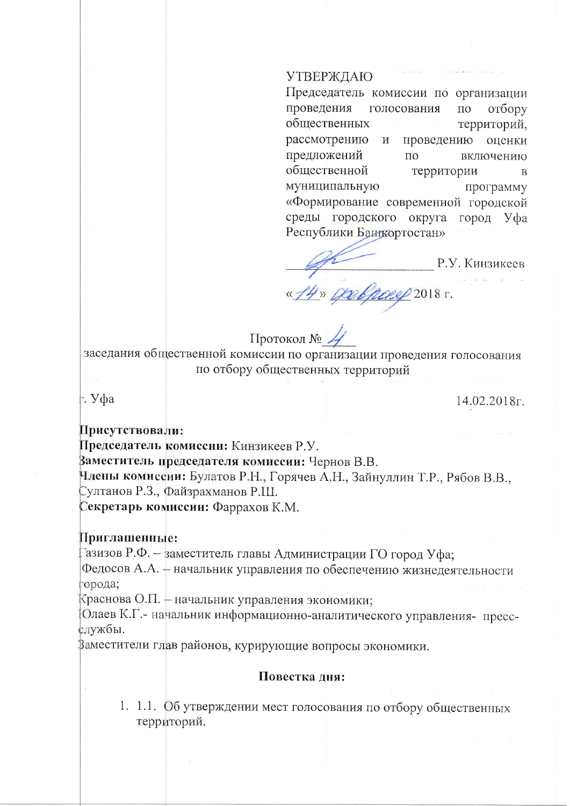## УТВЕРЖДАЮ

Председатель комиссии по организации проведения голосования  $\Pi$ O отбору общественных территорий, рассмотрению  $\mathbf{M}$ проведению оценки предложений  $\overline{10}$ включению общественной территории  $\overline{B}$ муниципальную программу «Формирование современной городской среды городского округа город Уфа Республики Банкортостан»

Р.У. Кинзикеев <u>4 JAN GOLFOREP</u> 2018 F.

Протокол №

заседания общественной комиссии по организации проведения голосования по отбору общественных территорий

⊧. Уфа

14.02.2018<sub> $\Gamma$ </sub>.

Присутствовали:

Председатель комиссии: Кинзикеев Р.У.

Ваместитель председателя комиссии: Чернов В.В.

Нлены комиссии: Булатов Р.Н., Горячев А.Н., Зайнуллин Т.Р., Рябов В.В., Султанов Р.З., Файзрахманов Р.Ш.

Секретарь комиссии: Фаррахов К.М.

## Приглашенные:

Газизов Р.Ф. – заместитель главы Администрации ГО город Уфа;

Федосов А.А. + начальник управления по обеспечению жизнедеятельности города;

Краснова О.П. – начальник управления экономики;

Олаев К.Г. - начальник информационно-аналитического управления - прессслужбы.

Заместители глав районов, курирующие вопросы экономики.

## Повестка дня:

1. 1.1. Об утверждении мест голосования по отбору общественных территорий.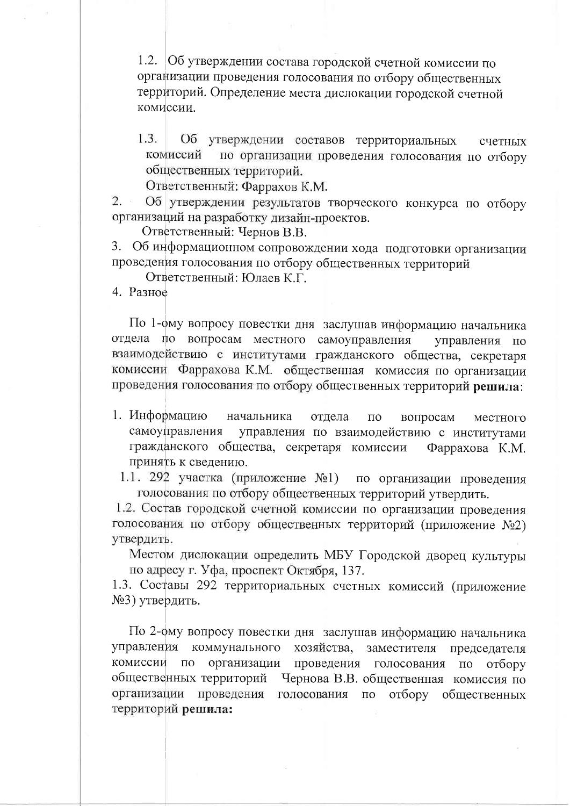1.2. Об утверждении состава городской счетной комиссии по организации проведения голосования по отбору общественных территорий. Определение места дислокации городской счетной комиссии.

 $1.3.$ Об утверждении составов территориальных счетных по организации проведения голосования по отбору комиссий общественных территорий.

Ответственный: Фаррахов К.М.

Об утверждении результатов творческого конкурса по отбору  $2.$ организаций на разработку дизайн-проектов.

Ответственный: Чернов В.В.

Об информационном сопровождении хода подготовки организации 3. проведения голосования по отбору общественных территорий

Ответственный: Юлаев К.Г.

4. Разное

По 1-фму вопросу повестки дня заслушав информацию начальника отдела по вопросам местного самоуправления управления по взаимодействию с институтами гражданского общества, секретаря комиссии Фаррахова К.М. общественная комиссия по организации проведения голосования по отбору общественных территорий решила:

- 1. Информацию начальника отдела  $\Pi$ <sup>O</sup> вопросам местного самоуправления управления по взаимодействию с институтами гражданского общества, секретаря комиссии Фаррахова К.М. принять к сведению.
	- 1.1. 292 участка (приложение №1) по организации проведения голосования по отбору общественных территорий утвердить.

1.2. Состав городской счетной комиссии по организации проведения голосования по отбору общественных территорий (приложение №2) утвердить.

Местом дислокации определить МБУ Городской дворец культуры по адресу г. Уфа, проспект Октября, 137.

1.3. Составы 292 территориальных счетных комиссий (приложение №3) утвердить.

По 2-фму вопросу повестки дня заслушав информацию начальника управления коммунального хозяйства, заместителя председателя  $\Pi$ O проведения голосования комиссии организации отбору  $\Pi$ O общественных территорий Чернова В.В. общественная комиссия по организации проведения голосования отбору  $\Pi{\rm O}$ общественных территорий решила: